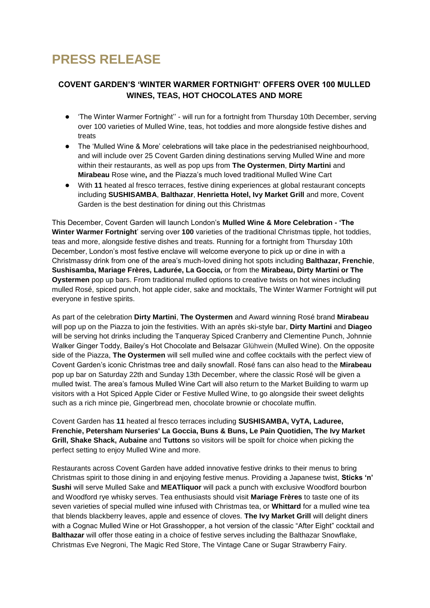# **PRESS RELEASE**

## **COVENT GARDEN'S 'WINTER WARMER FORTNIGHT' OFFERS OVER 100 MULLED WINES, TEAS, HOT CHOCOLATES AND MORE**

- The Winter Warmer Fortnight" will run for a fortnight from Thursday 10th December, serving over 100 varieties of Mulled Wine, teas, hot toddies and more alongside festive dishes and treats
- The 'Mulled Wine & More' celebrations will take place in the pedestrianised neighbourhood, and will include over 25 Covent Garden dining destinations serving Mulled Wine and more within their restaurants, as well as pop ups from **The Oystermen**, **Dirty Martini** and **Mirabeau** Rose wine**,** and the Piazza's much loved traditional Mulled Wine Cart
- With 11 heated al fresco terraces, festive dining experiences at global restaurant concepts including **SUSHISAMBA**, **Balthazar**, **Henrietta Hotel, Ivy Market Grill** and more, Covent Garden is the best destination for dining out this Christmas

This December, Covent Garden will launch London's **Mulled Wine & More Celebration - 'The Winter Warmer Fortnight**' serving over **100** varieties of the traditional Christmas tipple, hot toddies, teas and more, alongside festive dishes and treats. Running for a fortnight from Thursday 10th December, London's most festive enclave will welcome everyone to pick up or dine in with a Christmassy drink from one of the area's much-loved dining hot spots including **Balthazar, Frenchie**, **Sushisamba, Mariage Frères, Ladurée, La Goccia,** or from the **Mirabeau, Dirty Martini or The Oystermen** pop up bars. From traditional mulled options to creative twists on hot wines including mulled Rosé, spiced punch, hot apple cider, sake and mocktails, The Winter Warmer Fortnight will put everyone in festive spirits.

As part of the celebration **Dirty Martini**, **The Oystermen** and Award winning Rosé brand **Mirabeau**  will pop up on the Piazza to join the festivities. With an après ski-style bar, **Dirty Martini** and **Diageo**  will be serving hot drinks including the Tanqueray Spiced Cranberry and Clementine Punch, Johnnie Walker Ginger Toddy, Bailey's Hot Chocolate and Belsazar Glühwein (Mulled Wine). On the opposite side of the Piazza, **The Oystermen** will sell mulled wine and coffee cocktails with the perfect view of Covent Garden's iconic Christmas tree and daily snowfall. Rosé fans can also head to the **Mirabeau**  pop up bar on Saturday 22th and Sunday 13th December, where the classic Rosé will be given a mulled twist. The area's famous Mulled Wine Cart will also return to the Market Building to warm up visitors with a Hot Spiced Apple Cider or Festive Mulled Wine, to go alongside their sweet delights such as a rich mince pie, Gingerbread men, chocolate brownie or chocolate muffin.

Covent Garden has **11** heated al fresco terraces including **SUSHISAMBA, VyTA, Laduree, Frenchie, Petersham Nurseries' La Goccia, Buns & Buns, Le Pain Quotidien, The Ivy Market Grill, Shake Shack, Aubaine** and **Tuttons** so visitors will be spoilt for choice when picking the perfect setting to enjoy Mulled Wine and more.

Restaurants across Covent Garden have added innovative festive drinks to their menus to bring Christmas spirit to those dining in and enjoying festive menus. Providing a Japanese twist, **Sticks 'n' Sushi** will serve Mulled Sake and **MEATliquor** will pack a punch with exclusive Woodford bourbon and Woodford rye whisky serves. Tea enthusiasts should visit **Mariage Frères** to taste one of its seven varieties of special mulled wine infused with Christmas tea, or **Whittard** for a mulled wine tea that blends blackberry leaves, apple and essence of cloves. **The Ivy Market Grill** will delight diners with a Cognac Mulled Wine or Hot Grasshopper, a hot version of the classic "After Eight" cocktail and **Balthazar** will offer those eating in a choice of festive serves including the Balthazar Snowflake, Christmas Eve Negroni, The Magic Red Store, The Vintage Cane or Sugar Strawberry Fairy.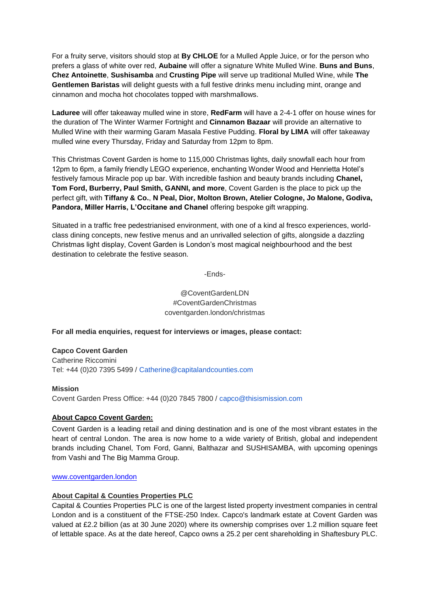For a fruity serve, visitors should stop at **By CHLOE** for a Mulled Apple Juice, or for the person who prefers a glass of white over red, **Aubaine** will offer a signature White Mulled Wine. **Buns and Buns**, **Chez Antoinette**, **Sushisamba** and **Crusting Pipe** will serve up traditional Mulled Wine, while **The Gentlemen Baristas** will delight guests with a full festive drinks menu including mint, orange and cinnamon and mocha hot chocolates topped with marshmallows.

**Laduree** will offer takeaway mulled wine in store, **RedFarm** will have a 2-4-1 offer on house wines for the duration of The Winter Warmer Fortnight and **Cinnamon Bazaar** will provide an alternative to Mulled Wine with their warming Garam Masala Festive Pudding. **Floral by LIMA** will offer takeaway mulled wine every Thursday, Friday and Saturday from 12pm to 8pm.

This Christmas Covent Garden is home to 115,000 Christmas lights, daily snowfall each hour from 12pm to 6pm, a family friendly LEGO experience, enchanting Wonder Wood and Henrietta Hotel's festively famous Miracle pop up bar. With incredible fashion and beauty brands including **Chanel, Tom Ford, Burberry, Paul Smith, GANNI, and more**, Covent Garden is the place to pick up the perfect gift, with **Tiffany & Co.**, **N Peal, Dior, Molton Brown, Atelier Cologne, Jo Malone, Godiva, Pandora, Miller Harris, L'Occitane and Chanel** offering bespoke gift wrapping.

Situated in a traffic free pedestrianised environment, with one of a kind al fresco experiences, worldclass dining concepts, new festive menus and an unrivalled selection of gifts, alongside a dazzling Christmas light display, Covent Garden is London's most magical neighbourhood and the best destination to celebrate the festive season.

-Ends-

@CoventGardenLDN #CoventGardenChristmas coventgarden.london/christmas

**For all media enquiries, request for interviews or images, please contact:**

#### **Capco Covent Garden**

Catherine Riccomini Tel: +44 (0)20 7395 5499 / Catherine@capitalandcounties.com

#### **Mission**

Covent Garden Press Office: +44 (0)20 7845 7800 / capco@thisismission.com

### **About Capco Covent Garden:**

Covent Garden is a leading retail and dining destination and is one of the most vibrant estates in the heart of central London. The area is now home to a wide variety of British, global and independent brands including Chanel, Tom Ford, Ganni, Balthazar and SUSHISAMBA, with upcoming openings from Vashi and The Big Mamma Group.

www.coventgarden.london

#### **About Capital & Counties Properties PLC**

Capital & Counties Properties PLC is one of the largest listed property investment companies in central London and is a constituent of the FTSE-250 Index. Capco's landmark estate at Covent Garden was valued at £2.2 billion (as at 30 June 2020) where its ownership comprises over 1.2 million square feet of lettable space. As at the date hereof, Capco owns a 25.2 per cent shareholding in Shaftesbury PLC.